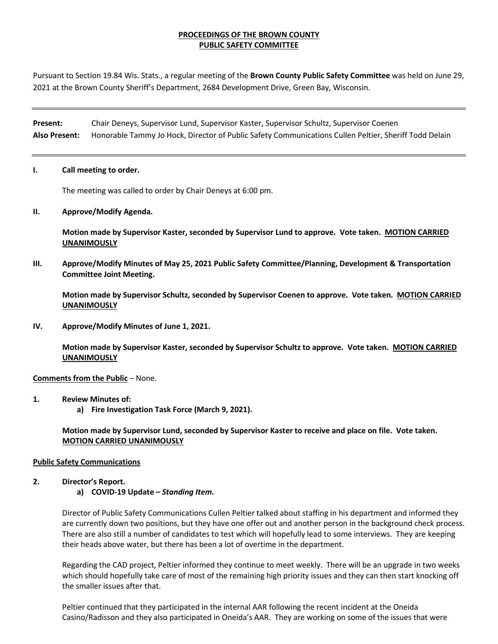## **PROCEEDINGS OF THE BROWN COUNTY PUBLIC SAFETY COMMITTEE**

Pursuant to Section 19.84 Wis. Stats., a regular meeting of the **Brown County Public Safety Committee** was held on June 29, 2021 at the Brown County Sheriff's Department, 2684 Development Drive, Green Bay, Wisconsin.

**Present:** Chair Deneys, Supervisor Lund, Supervisor Kaster, Supervisor Schultz, Supervisor Coenen **Also Present:** Honorable Tammy Jo Hock, Director of Public Safety Communications Cullen Peltier, Sheriff Todd Delain

### **I. Call meeting to order.**

The meeting was called to order by Chair Deneys at 6:00 pm.

### **II. Approve/Modify Agenda.**

**Motion made by Supervisor Kaster, seconded by Supervisor Lund to approve. Vote taken. MOTION CARRIED UNANIMOUSLY**

**III. Approve/Modify Minutes of May 25, 2021 Public Safety Committee/Planning, Development & Transportation Committee Joint Meeting.** 

**Motion made by Supervisor Schultz, seconded by Supervisor Coenen to approve. Vote taken. MOTION CARRIED UNANIMOUSLY**

**IV. Approve/Modify Minutes of June 1, 2021.** 

**Motion made by Supervisor Kaster, seconded by Supervisor Schultz to approve. Vote taken. MOTION CARRIED UNANIMOUSLY**

### **Comments from the Public** – None.

- **1. Review Minutes of:** 
	- **a) Fire Investigation Task Force (March 9, 2021).**

**Motion made by Supervisor Lund, seconded by Supervisor Kaster to receive and place on file. Vote taken. MOTION CARRIED UNANIMOUSLY**

### **Public Safety Communications**

### **2. Director's Report.**

### **a) COVID-19 Update –** *Standing Item***.**

Director of Public Safety Communications Cullen Peltier talked about staffing in his department and informed they are currently down two positions, but they have one offer out and another person in the background check process. There are also still a number of candidates to test which will hopefully lead to some interviews. They are keeping their heads above water, but there has been a lot of overtime in the department.

Regarding the CAD project, Peltier informed they continue to meet weekly. There will be an upgrade in two weeks which should hopefully take care of most of the remaining high priority issues and they can then start knocking off the smaller issues after that.

Peltier continued that they participated in the internal AAR following the recent incident at the Oneida Casino/Radisson and they also participated in Oneida's AAR. They are working on some of the issues that were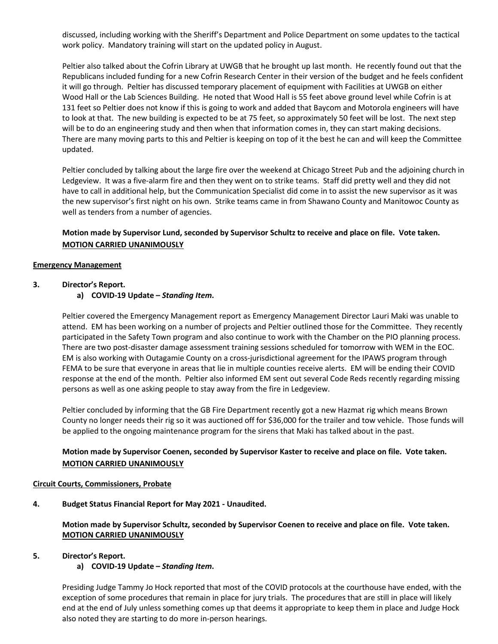discussed, including working with the Sheriff's Department and Police Department on some updates to the tactical work policy. Mandatory training will start on the updated policy in August.

Peltier also talked about the Cofrin Library at UWGB that he brought up last month. He recently found out that the Republicans included funding for a new Cofrin Research Center in their version of the budget and he feels confident it will go through. Peltier has discussed temporary placement of equipment with Facilities at UWGB on either Wood Hall or the Lab Sciences Building. He noted that Wood Hall is 55 feet above ground level while Cofrin is at 131 feet so Peltier does not know if this is going to work and added that Baycom and Motorola engineers will have to look at that. The new building is expected to be at 75 feet, so approximately 50 feet will be lost. The next step will be to do an engineering study and then when that information comes in, they can start making decisions. There are many moving parts to this and Peltier is keeping on top of it the best he can and will keep the Committee updated.

Peltier concluded by talking about the large fire over the weekend at Chicago Street Pub and the adjoining church in Ledgeview. It was a five-alarm fire and then they went on to strike teams. Staff did pretty well and they did not have to call in additional help, but the Communication Specialist did come in to assist the new supervisor as it was the new supervisor's first night on his own. Strike teams came in from Shawano County and Manitowoc County as well as tenders from a number of agencies.

## **Motion made by Supervisor Lund, seconded by Supervisor Schultz to receive and place on file. Vote taken. MOTION CARRIED UNANIMOUSLY**

### **Emergency Management**

### **3. Director's Report.**

**a) COVID-19 Update –** *Standing Item***.**

Peltier covered the Emergency Management report as Emergency Management Director Lauri Maki was unable to attend. EM has been working on a number of projects and Peltier outlined those for the Committee. They recently participated in the Safety Town program and also continue to work with the Chamber on the PIO planning process. There are two post-disaster damage assessment training sessions scheduled for tomorrow with WEM in the EOC. EM is also working with Outagamie County on a cross-jurisdictional agreement for the IPAWS program through FEMA to be sure that everyone in areas that lie in multiple counties receive alerts. EM will be ending their COVID response at the end of the month. Peltier also informed EM sent out several Code Reds recently regarding missing persons as well as one asking people to stay away from the fire in Ledgeview.

Peltier concluded by informing that the GB Fire Department recently got a new Hazmat rig which means Brown County no longer needs their rig so it was auctioned off for \$36,000 for the trailer and tow vehicle. Those funds will be applied to the ongoing maintenance program for the sirens that Maki has talked about in the past.

## **Motion made by Supervisor Coenen, seconded by Supervisor Kaster to receive and place on file. Vote taken. MOTION CARRIED UNANIMOUSLY**

### **Circuit Courts, Commissioners, Probate**

**4. Budget Status Financial Report for May 2021 - Unaudited.**

**Motion made by Supervisor Schultz, seconded by Supervisor Coenen to receive and place on file. Vote taken. MOTION CARRIED UNANIMOUSLY**

### **5. Director's Report.**

### **a) COVID-19 Update –** *Standing Item***.**

Presiding Judge Tammy Jo Hock reported that most of the COVID protocols at the courthouse have ended, with the exception of some procedures that remain in place for jury trials. The procedures that are still in place will likely end at the end of July unless something comes up that deems it appropriate to keep them in place and Judge Hock also noted they are starting to do more in-person hearings.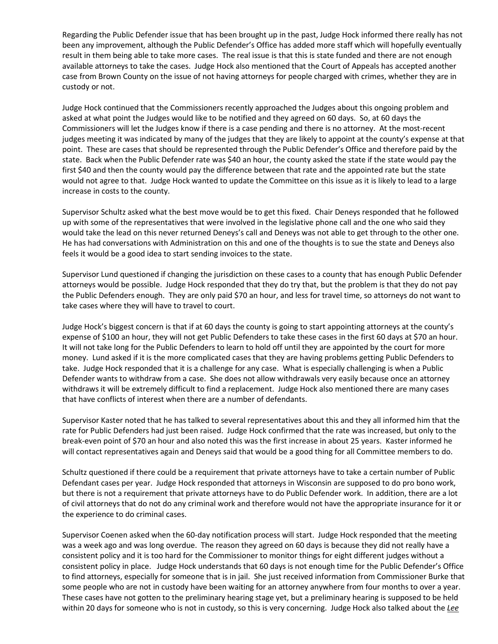Regarding the Public Defender issue that has been brought up in the past, Judge Hock informed there really has not been any improvement, although the Public Defender's Office has added more staff which will hopefully eventually result in them being able to take more cases. The real issue is that this is state funded and there are not enough available attorneys to take the cases. Judge Hock also mentioned that the Court of Appeals has accepted another case from Brown County on the issue of not having attorneys for people charged with crimes, whether they are in custody or not.

Judge Hock continued that the Commissioners recently approached the Judges about this ongoing problem and asked at what point the Judges would like to be notified and they agreed on 60 days. So, at 60 days the Commissioners will let the Judges know if there is a case pending and there is no attorney. At the most-recent judges meeting it was indicated by many of the judges that they are likely to appoint at the county's expense at that point. These are cases that should be represented through the Public Defender's Office and therefore paid by the state. Back when the Public Defender rate was \$40 an hour, the county asked the state if the state would pay the first \$40 and then the county would pay the difference between that rate and the appointed rate but the state would not agree to that. Judge Hock wanted to update the Committee on this issue as it is likely to lead to a large increase in costs to the county.

Supervisor Schultz asked what the best move would be to get this fixed. Chair Deneys responded that he followed up with some of the representatives that were involved in the legislative phone call and the one who said they would take the lead on this never returned Deneys's call and Deneys was not able to get through to the other one. He has had conversations with Administration on this and one of the thoughts is to sue the state and Deneys also feels it would be a good idea to start sending invoices to the state.

Supervisor Lund questioned if changing the jurisdiction on these cases to a county that has enough Public Defender attorneys would be possible. Judge Hock responded that they do try that, but the problem is that they do not pay the Public Defenders enough. They are only paid \$70 an hour, and less for travel time, so attorneys do not want to take cases where they will have to travel to court.

Judge Hock's biggest concern is that if at 60 days the county is going to start appointing attorneys at the county's expense of \$100 an hour, they will not get Public Defenders to take these cases in the first 60 days at \$70 an hour. It will not take long for the Public Defenders to learn to hold off until they are appointed by the court for more money. Lund asked if it is the more complicated cases that they are having problems getting Public Defenders to take. Judge Hock responded that it is a challenge for any case. What is especially challenging is when a Public Defender wants to withdraw from a case. She does not allow withdrawals very easily because once an attorney withdraws it will be extremely difficult to find a replacement. Judge Hock also mentioned there are many cases that have conflicts of interest when there are a number of defendants.

Supervisor Kaster noted that he has talked to several representatives about this and they all informed him that the rate for Public Defenders had just been raised. Judge Hock confirmed that the rate was increased, but only to the break-even point of \$70 an hour and also noted this was the first increase in about 25 years. Kaster informed he will contact representatives again and Deneys said that would be a good thing for all Committee members to do.

Schultz questioned if there could be a requirement that private attorneys have to take a certain number of Public Defendant cases per year. Judge Hock responded that attorneys in Wisconsin are supposed to do pro bono work, but there is not a requirement that private attorneys have to do Public Defender work. In addition, there are a lot of civil attorneys that do not do any criminal work and therefore would not have the appropriate insurance for it or the experience to do criminal cases.

Supervisor Coenen asked when the 60-day notification process will start. Judge Hock responded that the meeting was a week ago and was long overdue. The reason they agreed on 60 days is because they did not really have a consistent policy and it is too hard for the Commissioner to monitor things for eight different judges without a consistent policy in place. Judge Hock understands that 60 days is not enough time for the Public Defender's Office to find attorneys, especially for someone that is in jail. She just received information from Commissioner Burke that some people who are not in custody have been waiting for an attorney anywhere from four months to over a year. These cases have not gotten to the preliminary hearing stage yet, but a preliminary hearing is supposed to be held within 20 days for someone who is not in custody, so this is very concerning. Judge Hock also talked about the *Lee*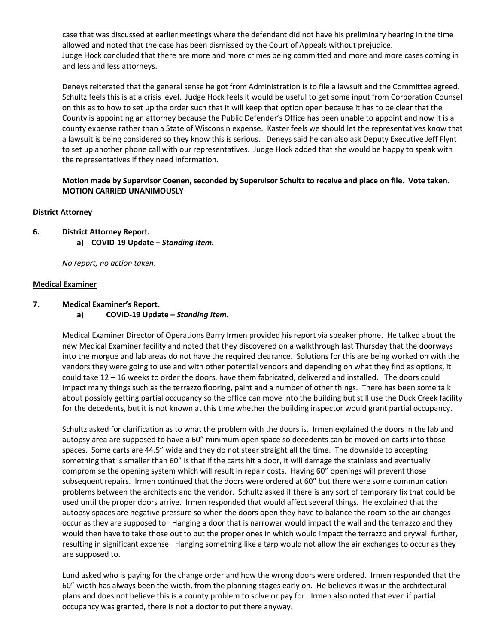case that was discussed at earlier meetings where the defendant did not have his preliminary hearing in the time allowed and noted that the case has been dismissed by the Court of Appeals without prejudice. Judge Hock concluded that there are more and more crimes being committed and more and more cases coming in and less and less attorneys.

Deneys reiterated that the general sense he got from Administration is to file a lawsuit and the Committee agreed. Schultz feels this is at a crisis level. Judge Hock feels it would be useful to get some input from Corporation Counsel on this as to how to set up the order such that it will keep that option open because it has to be clear that the County is appointing an attorney because the Public Defender's Office has been unable to appoint and now it is a county expense rather than a State of Wisconsin expense. Kaster feels we should let the representatives know that a lawsuit is being considered so they know this is serious. Deneys said he can also ask Deputy Executive Jeff Flynt to set up another phone call with our representatives. Judge Hock added that she would be happy to speak with the representatives if they need information.

## **Motion made by Supervisor Coenen, seconded by Supervisor Schultz to receive and place on file. Vote taken. MOTION CARRIED UNANIMOUSLY**

## **District Attorney**

**6. District Attorney Report. a) COVID-19 Update –** *Standing Item.*

*No report; no action taken*.

## **Medical Examiner**

- **7. Medical Examiner's Report.**
	- **a) COVID-19 Update –** *Standing Item***.**

Medical Examiner Director of Operations Barry Irmen provided his report via speaker phone. He talked about the new Medical Examiner facility and noted that they discovered on a walkthrough last Thursday that the doorways into the morgue and lab areas do not have the required clearance. Solutions for this are being worked on with the vendors they were going to use and with other potential vendors and depending on what they find as options, it could take 12 – 16 weeks to order the doors, have them fabricated, delivered and installed. The doors could impact many things such as the terrazzo flooring, paint and a number of other things. There has been some talk about possibly getting partial occupancy so the office can move into the building but still use the Duck Creek facility for the decedents, but it is not known at this time whether the building inspector would grant partial occupancy.

Schultz asked for clarification as to what the problem with the doors is. Irmen explained the doors in the lab and autopsy area are supposed to have a 60" minimum open space so decedents can be moved on carts into those spaces. Some carts are 44.5" wide and they do not steer straight all the time. The downside to accepting something that is smaller than 60" is that if the carts hit a door, it will damage the stainless and eventually compromise the opening system which will result in repair costs. Having 60" openings will prevent those subsequent repairs. Irmen continued that the doors were ordered at 60" but there were some communication problems between the architects and the vendor. Schultz asked if there is any sort of temporary fix that could be used until the proper doors arrive. Irmen responded that would affect several things. He explained that the autopsy spaces are negative pressure so when the doors open they have to balance the room so the air changes occur as they are supposed to. Hanging a door that is narrower would impact the wall and the terrazzo and they would then have to take those out to put the proper ones in which would impact the terrazzo and drywall further, resulting in significant expense. Hanging something like a tarp would not allow the air exchanges to occur as they are supposed to.

Lund asked who is paying for the change order and how the wrong doors were ordered. Irmen responded that the 60" width has always been the width, from the planning stages early on. He believes it was in the architectural plans and does not believe this is a county problem to solve or pay for. Irmen also noted that even if partial occupancy was granted, there is not a doctor to put there anyway.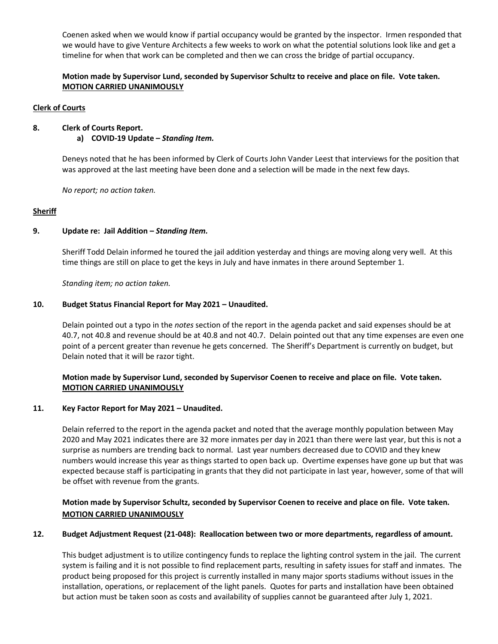Coenen asked when we would know if partial occupancy would be granted by the inspector. Irmen responded that we would have to give Venture Architects a few weeks to work on what the potential solutions look like and get a timeline for when that work can be completed and then we can cross the bridge of partial occupancy.

## **Motion made by Supervisor Lund, seconded by Supervisor Schultz to receive and place on file. Vote taken. MOTION CARRIED UNANIMOUSLY**

## **Clerk of Courts**

## **8. Clerk of Courts Report.**

**a) COVID-19 Update –** *Standing Item.*

Deneys noted that he has been informed by Clerk of Courts John Vander Leest that interviews for the position that was approved at the last meeting have been done and a selection will be made in the next few days.

*No report; no action taken.*

### **Sheriff**

### **9. Update re: Jail Addition –** *Standing Item.*

Sheriff Todd Delain informed he toured the jail addition yesterday and things are moving along very well. At this time things are still on place to get the keys in July and have inmates in there around September 1.

*Standing item; no action taken.* 

## **10. Budget Status Financial Report for May 2021 – Unaudited.**

Delain pointed out a typo in the *notes* section of the report in the agenda packet and said expenses should be at 40.7, not 40.8 and revenue should be at 40.8 and not 40.7. Delain pointed out that any time expenses are even one point of a percent greater than revenue he gets concerned. The Sheriff's Department is currently on budget, but Delain noted that it will be razor tight.

## **Motion made by Supervisor Lund, seconded by Supervisor Coenen to receive and place on file. Vote taken. MOTION CARRIED UNANIMOUSLY**

### **11. Key Factor Report for May 2021 – Unaudited.**

Delain referred to the report in the agenda packet and noted that the average monthly population between May 2020 and May 2021 indicates there are 32 more inmates per day in 2021 than there were last year, but this is not a surprise as numbers are trending back to normal. Last year numbers decreased due to COVID and they knew numbers would increase this year as things started to open back up. Overtime expenses have gone up but that was expected because staff is participating in grants that they did not participate in last year, however, some of that will be offset with revenue from the grants.

## **Motion made by Supervisor Schultz, seconded by Supervisor Coenen to receive and place on file. Vote taken. MOTION CARRIED UNANIMOUSLY**

### **12. Budget Adjustment Request (21-048): Reallocation between two or more departments, regardless of amount.**

This budget adjustment is to utilize contingency funds to replace the lighting control system in the jail. The current system is failing and it is not possible to find replacement parts, resulting in safety issues for staff and inmates. The product being proposed for this project is currently installed in many major sports stadiums without issues in the installation, operations, or replacement of the light panels. Quotes for parts and installation have been obtained but action must be taken soon as costs and availability of supplies cannot be guaranteed after July 1, 2021.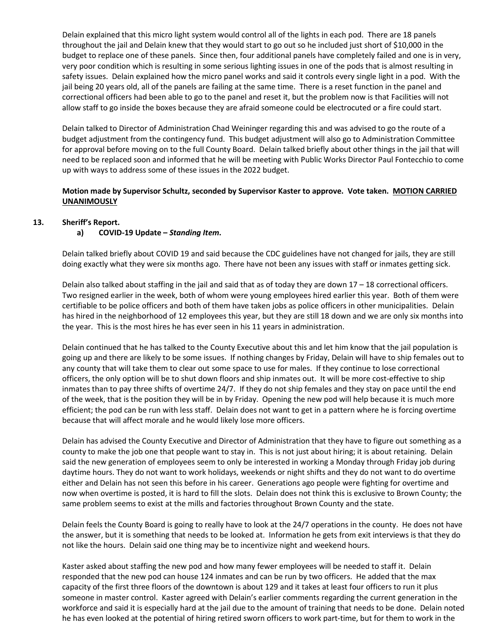Delain explained that this micro light system would control all of the lights in each pod. There are 18 panels throughout the jail and Delain knew that they would start to go out so he included just short of \$10,000 in the budget to replace one of these panels. Since then, four additional panels have completely failed and one is in very, very poor condition which is resulting in some serious lighting issues in one of the pods that is almost resulting in safety issues. Delain explained how the micro panel works and said it controls every single light in a pod. With the jail being 20 years old, all of the panels are failing at the same time. There is a reset function in the panel and correctional officers had been able to go to the panel and reset it, but the problem now is that Facilities will not allow staff to go inside the boxes because they are afraid someone could be electrocuted or a fire could start.

Delain talked to Director of Administration Chad Weininger regarding this and was advised to go the route of a budget adjustment from the contingency fund. This budget adjustment will also go to Administration Committee for approval before moving on to the full County Board. Delain talked briefly about other things in the jail that will need to be replaced soon and informed that he will be meeting with Public Works Director Paul Fontecchio to come up with ways to address some of these issues in the 2022 budget.

## **Motion made by Supervisor Schultz, seconded by Supervisor Kaster to approve. Vote taken. MOTION CARRIED UNANIMOUSLY**

### **13. Sheriff's Report.**

## **a) COVID-19 Update –** *Standing Item***.**

Delain talked briefly about COVID 19 and said because the CDC guidelines have not changed for jails, they are still doing exactly what they were six months ago. There have not been any issues with staff or inmates getting sick.

Delain also talked about staffing in the jail and said that as of today they are down  $17 - 18$  correctional officers. Two resigned earlier in the week, both of whom were young employees hired earlier this year. Both of them were certifiable to be police officers and both of them have taken jobs as police officers in other municipalities. Delain has hired in the neighborhood of 12 employees this year, but they are still 18 down and we are only six months into the year. This is the most hires he has ever seen in his 11 years in administration.

Delain continued that he has talked to the County Executive about this and let him know that the jail population is going up and there are likely to be some issues. If nothing changes by Friday, Delain will have to ship females out to any county that will take them to clear out some space to use for males. If they continue to lose correctional officers, the only option will be to shut down floors and ship inmates out. It will be more cost-effective to ship inmates than to pay three shifts of overtime 24/7. If they do not ship females and they stay on pace until the end of the week, that is the position they will be in by Friday. Opening the new pod will help because it is much more efficient; the pod can be run with less staff. Delain does not want to get in a pattern where he is forcing overtime because that will affect morale and he would likely lose more officers.

Delain has advised the County Executive and Director of Administration that they have to figure out something as a county to make the job one that people want to stay in. This is not just about hiring; it is about retaining. Delain said the new generation of employees seem to only be interested in working a Monday through Friday job during daytime hours. They do not want to work holidays, weekends or night shifts and they do not want to do overtime either and Delain has not seen this before in his career. Generations ago people were fighting for overtime and now when overtime is posted, it is hard to fill the slots. Delain does not think this is exclusive to Brown County; the same problem seems to exist at the mills and factories throughout Brown County and the state.

Delain feels the County Board is going to really have to look at the 24/7 operations in the county. He does not have the answer, but it is something that needs to be looked at. Information he gets from exit interviews is that they do not like the hours. Delain said one thing may be to incentivize night and weekend hours.

Kaster asked about staffing the new pod and how many fewer employees will be needed to staff it. Delain responded that the new pod can house 124 inmates and can be run by two officers. He added that the max capacity of the first three floors of the downtown is about 129 and it takes at least four officers to run it plus someone in master control. Kaster agreed with Delain's earlier comments regarding the current generation in the workforce and said it is especially hard at the jail due to the amount of training that needs to be done. Delain noted he has even looked at the potential of hiring retired sworn officers to work part-time, but for them to work in the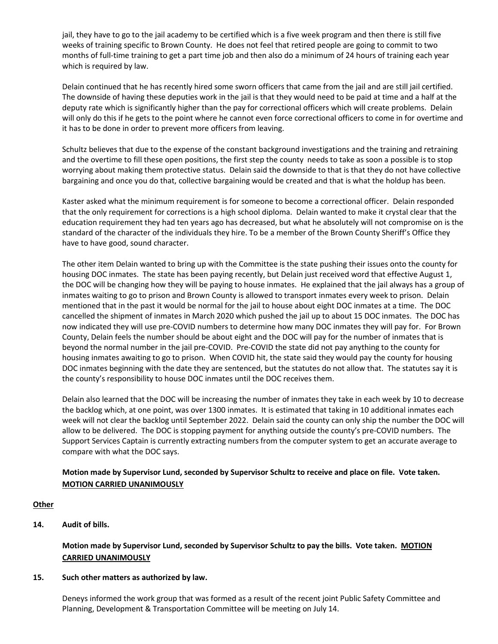jail, they have to go to the jail academy to be certified which is a five week program and then there is still five weeks of training specific to Brown County. He does not feel that retired people are going to commit to two months of full-time training to get a part time job and then also do a minimum of 24 hours of training each year which is required by law.

Delain continued that he has recently hired some sworn officers that came from the jail and are still jail certified. The downside of having these deputies work in the jail is that they would need to be paid at time and a half at the deputy rate which is significantly higher than the pay for correctional officers which will create problems. Delain will only do this if he gets to the point where he cannot even force correctional officers to come in for overtime and it has to be done in order to prevent more officers from leaving.

Schultz believes that due to the expense of the constant background investigations and the training and retraining and the overtime to fill these open positions, the first step the county needs to take as soon a possible is to stop worrying about making them protective status. Delain said the downside to that is that they do not have collective bargaining and once you do that, collective bargaining would be created and that is what the holdup has been.

Kaster asked what the minimum requirement is for someone to become a correctional officer. Delain responded that the only requirement for corrections is a high school diploma. Delain wanted to make it crystal clear that the education requirement they had ten years ago has decreased, but what he absolutely will not compromise on is the standard of the character of the individuals they hire. To be a member of the Brown County Sheriff's Office they have to have good, sound character.

The other item Delain wanted to bring up with the Committee is the state pushing their issues onto the county for housing DOC inmates. The state has been paying recently, but Delain just received word that effective August 1, the DOC will be changing how they will be paying to house inmates. He explained that the jail always has a group of inmates waiting to go to prison and Brown County is allowed to transport inmates every week to prison. Delain mentioned that in the past it would be normal for the jail to house about eight DOC inmates at a time. The DOC cancelled the shipment of inmates in March 2020 which pushed the jail up to about 15 DOC inmates. The DOC has now indicated they will use pre-COVID numbers to determine how many DOC inmates they will pay for. For Brown County, Delain feels the number should be about eight and the DOC will pay for the number of inmates that is beyond the normal number in the jail pre-COVID. Pre-COVID the state did not pay anything to the county for housing inmates awaiting to go to prison. When COVID hit, the state said they would pay the county for housing DOC inmates beginning with the date they are sentenced, but the statutes do not allow that. The statutes say it is the county's responsibility to house DOC inmates until the DOC receives them.

Delain also learned that the DOC will be increasing the number of inmates they take in each week by 10 to decrease the backlog which, at one point, was over 1300 inmates. It is estimated that taking in 10 additional inmates each week will not clear the backlog until September 2022. Delain said the county can only ship the number the DOC will allow to be delivered. The DOC is stopping payment for anything outside the county's pre-COVID numbers. The Support Services Captain is currently extracting numbers from the computer system to get an accurate average to compare with what the DOC says.

## **Motion made by Supervisor Lund, seconded by Supervisor Schultz to receive and place on file. Vote taken. MOTION CARRIED UNANIMOUSLY**

## **Other**

**14. Audit of bills.**

## **Motion made by Supervisor Lund, seconded by Supervisor Schultz to pay the bills. Vote taken. MOTION CARRIED UNANIMOUSLY**

## **15. Such other matters as authorized by law.**

Deneys informed the work group that was formed as a result of the recent joint Public Safety Committee and Planning, Development & Transportation Committee will be meeting on July 14.